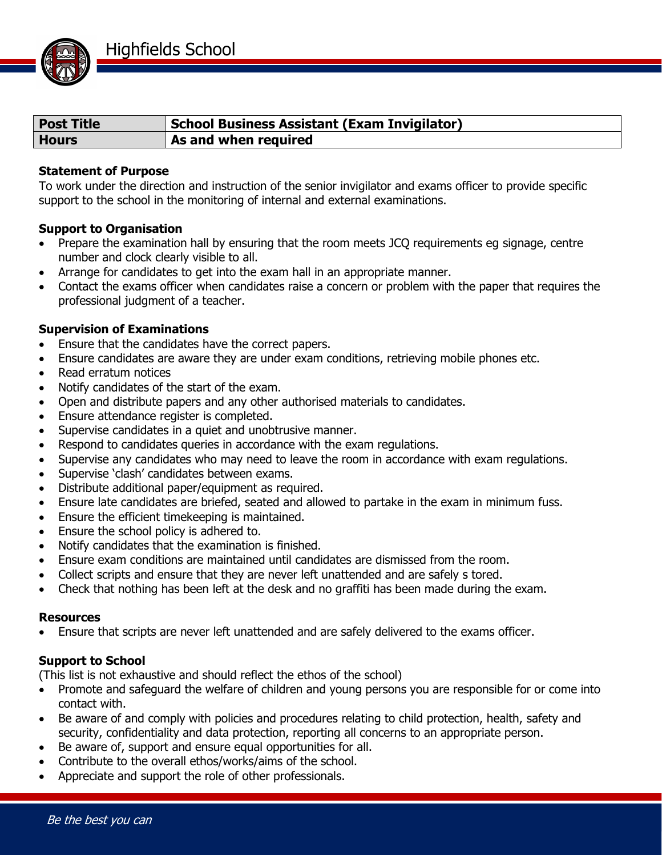

| <b>Post Title</b> | <b>School Business Assistant (Exam Invigilator)</b> |
|-------------------|-----------------------------------------------------|
| <b>Hours</b>      | As and when required                                |

## **Statement of Purpose**

To work under the direction and instruction of the senior invigilator and exams officer to provide specific support to the school in the monitoring of internal and external examinations.

### **Support to Organisation**

- Prepare the examination hall by ensuring that the room meets JCQ requirements eg signage, centre number and clock clearly visible to all.
- Arrange for candidates to get into the exam hall in an appropriate manner.
- Contact the exams officer when candidates raise a concern or problem with the paper that requires the professional judgment of a teacher.

### **Supervision of Examinations**

- Ensure that the candidates have the correct papers.
- Ensure candidates are aware they are under exam conditions, retrieving mobile phones etc.
- Read erratum notices
- Notify candidates of the start of the exam.
- Open and distribute papers and any other authorised materials to candidates.
- **Ensure attendance register is completed.**
- Supervise candidates in a quiet and unobtrusive manner.
- Respond to candidates queries in accordance with the exam regulations.
- Supervise any candidates who may need to leave the room in accordance with exam regulations.
- Supervise 'clash' candidates between exams.
- Distribute additional paper/equipment as required.
- Ensure late candidates are briefed, seated and allowed to partake in the exam in minimum fuss.
- Ensure the efficient timekeeping is maintained.
- Ensure the school policy is adhered to.
- Notify candidates that the examination is finished.
- Ensure exam conditions are maintained until candidates are dismissed from the room.
- Collect scripts and ensure that they are never left unattended and are safely s tored.
- Check that nothing has been left at the desk and no graffiti has been made during the exam.

#### **Resources**

Ensure that scripts are never left unattended and are safely delivered to the exams officer.

# **Support to School**

(This list is not exhaustive and should reflect the ethos of the school)

- Promote and safeguard the welfare of children and young persons you are responsible for or come into contact with.
- Be aware of and comply with policies and procedures relating to child protection, health, safety and security, confidentiality and data protection, reporting all concerns to an appropriate person.
- Be aware of, support and ensure equal opportunities for all.
- Contribute to the overall ethos/works/aims of the school.
- Appreciate and support the role of other professionals.